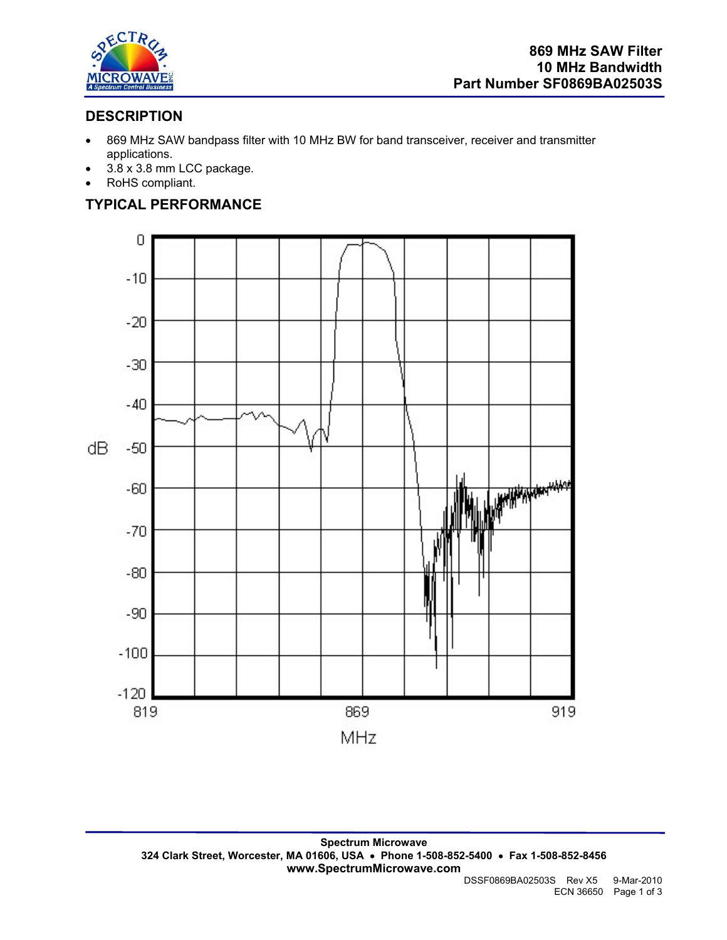

## **DESCRIPTION**

- 869 MHz SAW bandpass filter with 10 MHz BW for band transceiver, receiver and transmitter applications.
- 3.8 x 3.8 mm LCC package.
- RoHS compliant.

# **TYPICAL PERFORMANCE**

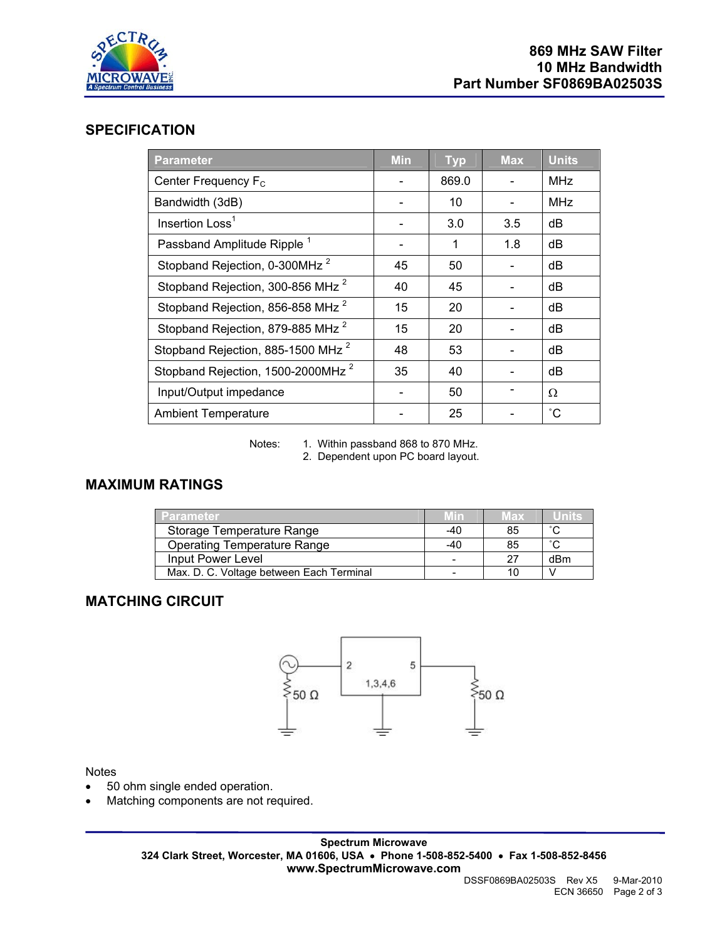

### **SPECIFICATION**

| <b>Parameter</b>                              | <b>Min</b> | <b>Typ</b> | <b>Max</b> | Units           |
|-----------------------------------------------|------------|------------|------------|-----------------|
| Center Frequency F <sub>c</sub>               |            | 869.0      |            | <b>MHz</b>      |
| Bandwidth (3dB)                               |            | 10         |            | <b>MHz</b>      |
| Insertion Loss <sup>1</sup>                   |            | 3.0        | 3.5        | dB              |
| Passband Amplitude Ripple <sup>1</sup>        |            | 1          | 1.8        | dB              |
| Stopband Rejection, 0-300MHz <sup>2</sup>     | 45         | 50         |            | dB              |
| Stopband Rejection, 300-856 MHz <sup>2</sup>  | 40         | 45         |            | dB              |
| Stopband Rejection, 856-858 MHz <sup>2</sup>  | 15         | 20         |            | dB              |
| Stopband Rejection, 879-885 MHz <sup>2</sup>  | 15         | 20         |            | dB              |
| Stopband Rejection, 885-1500 MHz <sup>2</sup> | 48         | 53         |            | dB              |
| Stopband Rejection, 1500-2000MHz <sup>2</sup> | 35         | 40         |            | dB              |
| Input/Output impedance                        |            | 50         |            | Ω               |
| <b>Ambient Temperature</b>                    |            | 25         |            | $\rm ^{\circ}C$ |

Notes: 1. Within passband 868 to 870 MHz.

2. Dependent upon PC board layout.

# **MAXIMUM RATINGS**

| 'Parameter                               | <b>AVITY</b> | Max | Units               |
|------------------------------------------|--------------|-----|---------------------|
| Storage Temperature Range                | -40          | 85  | $\hat{\phantom{a}}$ |
| <b>Operating Temperature Range</b>       | -40          | 85  | $\sim$              |
| Input Power Level                        |              | 27  | dBm                 |
| Max. D. C. Voltage between Each Terminal |              |     |                     |

## **MATCHING CIRCUIT**



### Notes

- 50 ohm single ended operation.
- Matching components are not required.